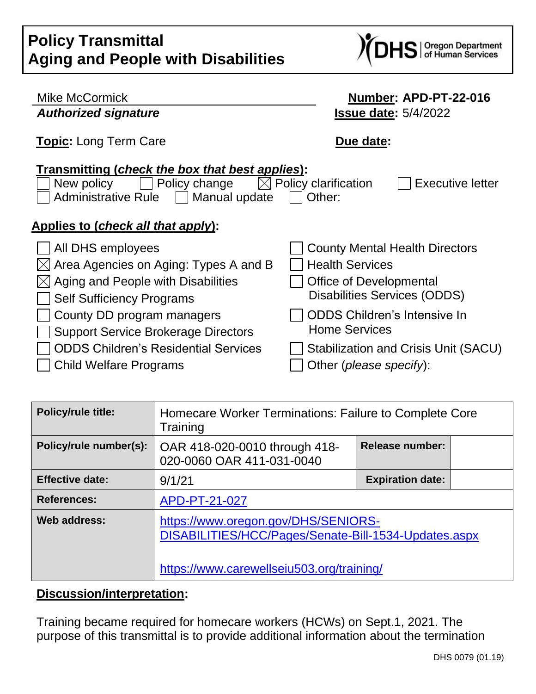| <b>Policy Transmittal</b>                 |  |
|-------------------------------------------|--|
| <b>Aging and People with Disabilities</b> |  |



| <b>Mike McCormick</b>                                                                                                           | Number: APD-PT-22-016                              |  |  |
|---------------------------------------------------------------------------------------------------------------------------------|----------------------------------------------------|--|--|
| <b>Authorized signature</b>                                                                                                     | <b>Issue date: 5/4/2022</b>                        |  |  |
| <b>Topic:</b> Long Term Care                                                                                                    | Due date:                                          |  |  |
| Transmitting (check the box that best applies):<br>Policy change<br>New policy<br><b>Administrative Rule</b><br>  Manual update | Policy clarification<br>Executive letter<br>Other: |  |  |
| Applies to (check all that apply):                                                                                              |                                                    |  |  |
| All DHS employees                                                                                                               | <b>County Mental Health Directors</b>              |  |  |
| Area Agencies on Aging: Types A and B                                                                                           | <b>Health Services</b>                             |  |  |
| Aging and People with Disabilities                                                                                              | <b>Office of Developmental</b>                     |  |  |
| <b>Self Sufficiency Programs</b>                                                                                                | <b>Disabilities Services (ODDS)</b>                |  |  |
| County DD program managers                                                                                                      | <b>ODDS Children's Intensive In</b>                |  |  |
| <b>Support Service Brokerage Directors</b>                                                                                      | <b>Home Services</b>                               |  |  |
| <b>ODDS Children's Residential Services</b>                                                                                     | Stabilization and Crisis Unit (SACU)               |  |  |
| <b>Child Welfare Programs</b>                                                                                                   | Other ( <i>please specify</i> ):                   |  |  |

| <b>Policy/rule title:</b> | Homecare Worker Terminations: Failure to Complete Core<br>Training                                                                       |                         |  |
|---------------------------|------------------------------------------------------------------------------------------------------------------------------------------|-------------------------|--|
| Policy/rule number(s):    | OAR 418-020-0010 through 418-<br>020-0060 OAR 411-031-0040                                                                               | <b>Release number:</b>  |  |
| <b>Effective date:</b>    | 9/1/21                                                                                                                                   | <b>Expiration date:</b> |  |
| <b>References:</b>        | APD-PT-21-027                                                                                                                            |                         |  |
| Web address:              | https://www.oregon.gov/DHS/SENIORS-<br>DISABILITIES/HCC/Pages/Senate-Bill-1534-Updates.aspx<br>https://www.carewellseiu503.org/training/ |                         |  |

# **Discussion/interpretation:**

Training became required for homecare workers (HCWs) on Sept.1, 2021. The purpose of this transmittal is to provide additional information about the termination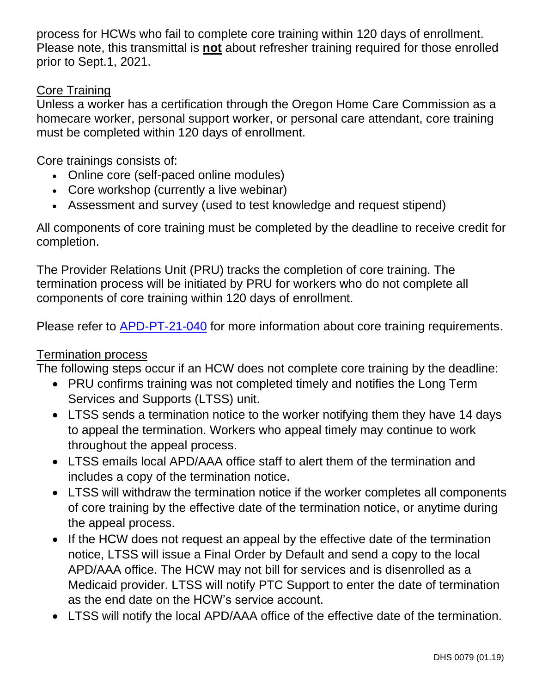process for HCWs who fail to complete core training within 120 days of enrollment. Please note, this transmittal is **not** about refresher training required for those enrolled prior to Sept.1, 2021.

### Core Training

Unless a worker has a certification through the Oregon Home Care Commission as a homecare worker, personal support worker, or personal care attendant, core training must be completed within 120 days of enrollment.

Core trainings consists of:

- Online core (self-paced online modules)
- Core workshop (currently a live webinar)
- Assessment and survey (used to test knowledge and request stipend)

All components of core training must be completed by the deadline to receive credit for completion.

The Provider Relations Unit (PRU) tracks the completion of core training. The termination process will be initiated by PRU for workers who do not complete all components of core training within 120 days of enrollment.

Please refer to [APD-PT-21-040](http://www.dhs.state.or.us/policy/spd/transmit/pt/2021/pt21040.pdf) for more information about core training requirements.

## Termination process

The following steps occur if an HCW does not complete core training by the deadline:

- PRU confirms training was not completed timely and notifies the Long Term Services and Supports (LTSS) unit.
- LTSS sends a termination notice to the worker notifying them they have 14 days to appeal the termination. Workers who appeal timely may continue to work throughout the appeal process.
- LTSS emails local APD/AAA office staff to alert them of the termination and includes a copy of the termination notice.
- LTSS will withdraw the termination notice if the worker completes all components of core training by the effective date of the termination notice, or anytime during the appeal process.
- If the HCW does not request an appeal by the effective date of the termination notice, LTSS will issue a Final Order by Default and send a copy to the local APD/AAA office. The HCW may not bill for services and is disenrolled as a Medicaid provider. LTSS will notify PTC Support to enter the date of termination as the end date on the HCW's service account.
- LTSS will notify the local APD/AAA office of the effective date of the termination.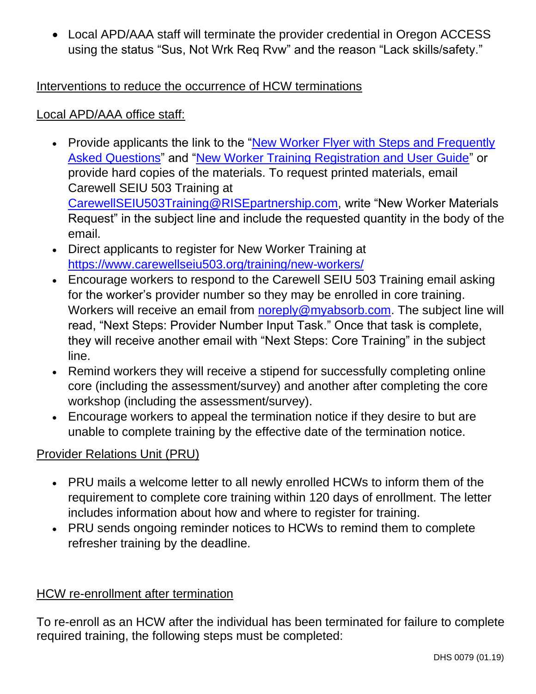• Local APD/AAA staff will terminate the provider credential in Oregon ACCESS using the status "Sus, Not Wrk Req Rvw" and the reason "Lack skills/safety."

## Interventions to reduce the occurrence of HCW terminations

### Local APD/AAA office staff:

- Provide applicants the link to the "New Worker Flyer with Steps and Frequently [Asked Questions"](https://www.carewellseiu503.org/wp-content/uploads/New-Worker-Flyer-with-Steps-and-FAQ.pdf) and ["New Worker Training Registration and User Guide"](https://www.carewellseiu503.org/wp-content/uploads/Carewell-SEIU-503-Training-Registration-and-User-Guide.pdf) or provide hard copies of the materials. To request printed materials, email Carewell SEIU 503 Training at [CarewellSEIU503Training@RISEpartnership.com,](mailto:CarewellSEIU503Training@RISEpartnership.com) write "New Worker Materials Request" in the subject line and include the requested quantity in the body of the email.
- Direct applicants to register for New Worker Training at <https://www.carewellseiu503.org/training/new-workers/>
- Encourage workers to respond to the Carewell SEIU 503 Training email asking for the worker's provider number so they may be enrolled in core training. Workers will receive an email from [noreply@myabsorb.com.](mailto:noreply@myabsorb.com) The subject line will read, "Next Steps: Provider Number Input Task." Once that task is complete, they will receive another email with "Next Steps: Core Training" in the subject line.
- Remind workers they will receive a stipend for successfully completing online core (including the assessment/survey) and another after completing the core workshop (including the assessment/survey).
- Encourage workers to appeal the termination notice if they desire to but are unable to complete training by the effective date of the termination notice.

## Provider Relations Unit (PRU)

- PRU mails a welcome letter to all newly enrolled HCWs to inform them of the requirement to complete core training within 120 days of enrollment. The letter includes information about how and where to register for training.
- PRU sends ongoing reminder notices to HCWs to remind them to complete refresher training by the deadline.

## HCW re-enrollment after termination

To re-enroll as an HCW after the individual has been terminated for failure to complete required training, the following steps must be completed: